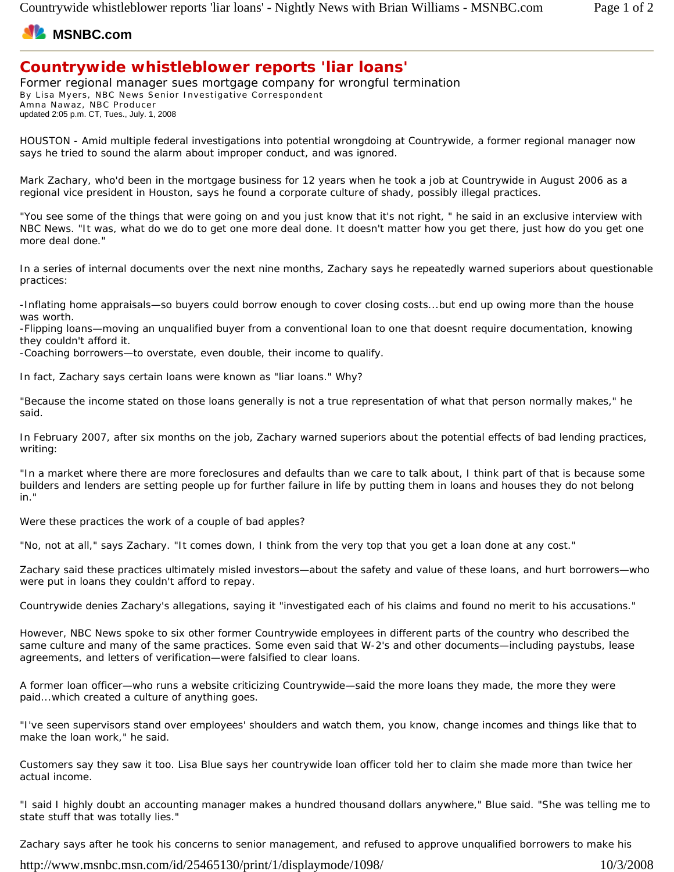## **MSNBC.com**

## **Countrywide whistleblower reports 'liar loans'**

Former regional manager sues mortgage company for wrongful termination By Lisa Myers, NBC News Senior Investigative Correspondent Amna Nawaz, NBC Producer updated 2:05 p.m. CT, Tues., July. 1, 2008

HOUSTON - Amid multiple federal investigations into potential wrongdoing at Countrywide, a former regional manager now says he tried to sound the alarm about improper conduct, and was ignored.

Mark Zachary, who'd been in the mortgage business for 12 years when he took a job at Countrywide in August 2006 as a regional vice president in Houston, says he found a corporate culture of shady, possibly illegal practices.

"You see some of the things that were going on and you just know that it's not right, " he said in an exclusive interview with NBC News. "It was, what do we do to get one more deal done. It doesn't matter how you get there, just how do you get one more deal done."

In a series of internal documents over the next nine months, Zachary says he repeatedly warned superiors about questionable practices:

-Inflating home appraisals—so buyers could borrow enough to cover closing costs...but end up owing more than the house was worth.

-Flipping loans—moving an unqualified buyer from a conventional loan to one that doesnt require documentation, knowing they couldn't afford it.

-Coaching borrowers—to overstate, even double, their income to qualify.

In fact, Zachary says certain loans were known as "liar loans." Why?

"Because the income stated on those loans generally is not a true representation of what that person normally makes," he said.

In February 2007, after six months on the job, Zachary warned superiors about the potential effects of bad lending practices, writing:

"In a market where there are more foreclosures and defaults than we care to talk about, I think part of that is because some builders and lenders are setting people up for further failure in life by putting them in loans and houses they do not belong in."

Were these practices the work of a couple of bad apples?

"No, not at all," says Zachary. "It comes down, I think from the very top that you get a loan done at any cost."

Zachary said these practices ultimately misled investors—about the safety and value of these loans, and hurt borrowers—who were put in loans they couldn't afford to repay.

Countrywide denies Zachary's allegations, saying it "investigated each of his claims and found no merit to his accusations."

However, NBC News spoke to six other former Countrywide employees in different parts of the country who described the same culture and many of the same practices. Some even said that W-2's and other documents—including paystubs, lease agreements, and letters of verification—were falsified to clear loans.

A former loan officer—who runs a website criticizing Countrywide—said the more loans they made, the more they were paid...which created a culture of anything goes.

"I've seen supervisors stand over employees' shoulders and watch them, you know, change incomes and things like that to make the loan work," he said.

Customers say they saw it too. Lisa Blue says her countrywide loan officer told her to claim she made more than twice her actual income.

"I said I highly doubt an accounting manager makes a hundred thousand dollars anywhere," Blue said. "She was telling me to state stuff that was totally lies."

Zachary says after he took his concerns to senior management, and refused to approve unqualified borrowers to make his

http://www.msnbc.msn.com/id/25465130/print/1/displaymode/1098/ 10/3/2008